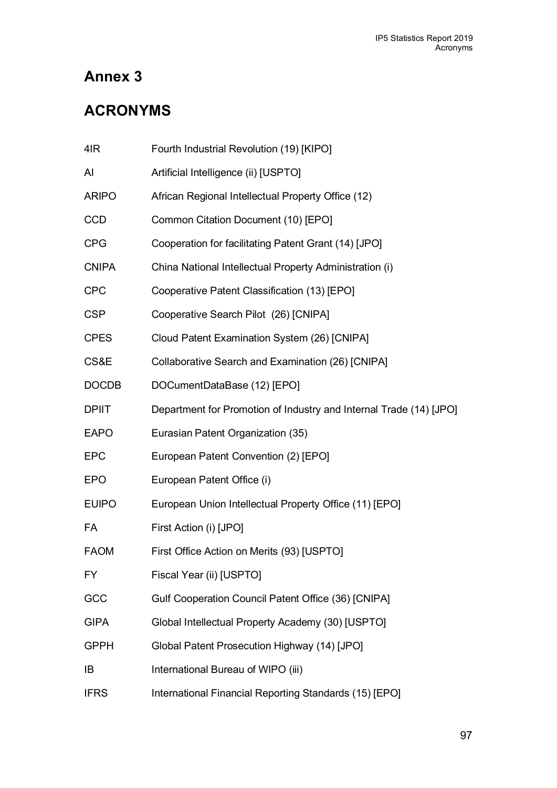# **Annex 3**

# **ACRONYMS**

| 4IR          | Fourth Industrial Revolution (19) [KIPO]                           |
|--------------|--------------------------------------------------------------------|
| AI           | Artificial Intelligence (ii) [USPTO]                               |
| <b>ARIPO</b> | African Regional Intellectual Property Office (12)                 |
| <b>CCD</b>   | Common Citation Document (10) [EPO]                                |
| CPG          | Cooperation for facilitating Patent Grant (14) [JPO]               |
| <b>CNIPA</b> | China National Intellectual Property Administration (i)            |
| <b>CPC</b>   | Cooperative Patent Classification (13) [EPO]                       |
| <b>CSP</b>   | Cooperative Search Pilot (26) [CNIPA]                              |
| <b>CPES</b>  | Cloud Patent Examination System (26) [CNIPA]                       |
| CS&E         | Collaborative Search and Examination (26) [CNIPA]                  |
| <b>DOCDB</b> | DOCumentDataBase (12) [EPO]                                        |
| <b>DPIIT</b> | Department for Promotion of Industry and Internal Trade (14) [JPO] |
| <b>EAPO</b>  | Eurasian Patent Organization (35)                                  |
| <b>EPC</b>   | European Patent Convention (2) [EPO]                               |
| <b>EPO</b>   | European Patent Office (i)                                         |
| <b>EUIPO</b> | European Union Intellectual Property Office (11) [EPO]             |
| <b>FA</b>    | First Action (i) [JPO]                                             |
| <b>FAOM</b>  | First Office Action on Merits (93) [USPTO]                         |
| FY           | Fiscal Year (ii) [USPTO]                                           |
| GCC          | Gulf Cooperation Council Patent Office (36) [CNIPA]                |
| <b>GIPA</b>  | Global Intellectual Property Academy (30) [USPTO]                  |
| <b>GPPH</b>  | Global Patent Prosecution Highway (14) [JPO]                       |
| IB           | International Bureau of WIPO (iii)                                 |
| <b>IFRS</b>  | International Financial Reporting Standards (15) [EPO]             |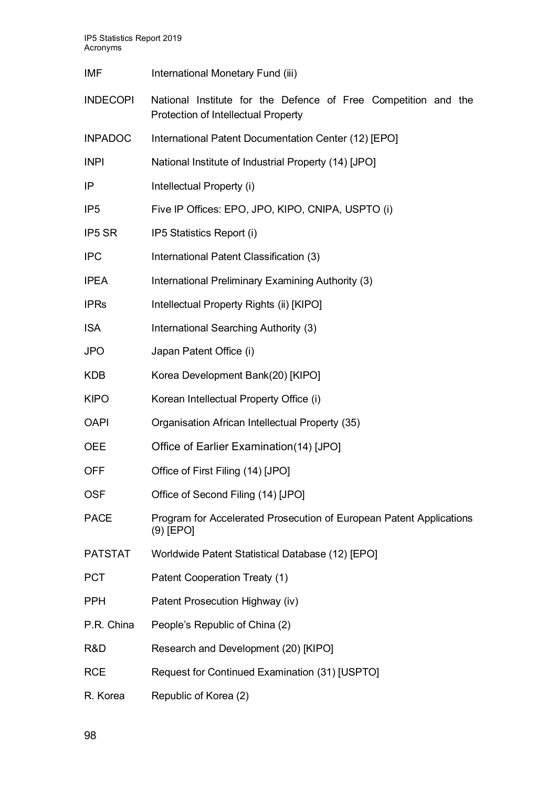IP5 Statistics Report 2019 Acronyms

| <b>IMF</b>      | International Monetary Fund (iii)                                                                            |
|-----------------|--------------------------------------------------------------------------------------------------------------|
| <b>INDECOPI</b> | National Institute for the Defence of Free Competition and the<br><b>Protection of Intellectual Property</b> |
| <b>INPADOC</b>  | International Patent Documentation Center (12) [EPO]                                                         |
| <b>INPI</b>     | National Institute of Industrial Property (14) [JPO]                                                         |
| IP              | Intellectual Property (i)                                                                                    |
| IP <sub>5</sub> | Five IP Offices: EPO, JPO, KIPO, CNIPA, USPTO (i)                                                            |
| IP5 SR          | IP5 Statistics Report (i)                                                                                    |
| <b>IPC</b>      | International Patent Classification (3)                                                                      |
| <b>IPEA</b>     | International Preliminary Examining Authority (3)                                                            |
| <b>IPRs</b>     | Intellectual Property Rights (ii) [KIPO]                                                                     |
| <b>ISA</b>      | International Searching Authority (3)                                                                        |
| <b>JPO</b>      | Japan Patent Office (i)                                                                                      |
| <b>KDB</b>      | Korea Development Bank(20) [KIPO]                                                                            |
| <b>KIPO</b>     | Korean Intellectual Property Office (i)                                                                      |
| <b>OAPI</b>     | Organisation African Intellectual Property (35)                                                              |
| <b>OEE</b>      | Office of Earlier Examination(14) [JPO]                                                                      |
| <b>OFF</b>      | Office of First Filing (14) [JPO]                                                                            |
| <b>OSF</b>      | Office of Second Filing (14) [JPO]                                                                           |
| <b>PACE</b>     | Program for Accelerated Prosecution of European Patent Applications<br>$(9)$ [EPO]                           |
| <b>PATSTAT</b>  | Worldwide Patent Statistical Database (12) [EPO]                                                             |
| <b>PCT</b>      | Patent Cooperation Treaty (1)                                                                                |
| <b>PPH</b>      | Patent Prosecution Highway (iv)                                                                              |
| P.R. China      | People's Republic of China (2)                                                                               |
| R&D             | Research and Development (20) [KIPO]                                                                         |
| <b>RCE</b>      | Request for Continued Examination (31) [USPTO]                                                               |
| R. Korea        | Republic of Korea (2)                                                                                        |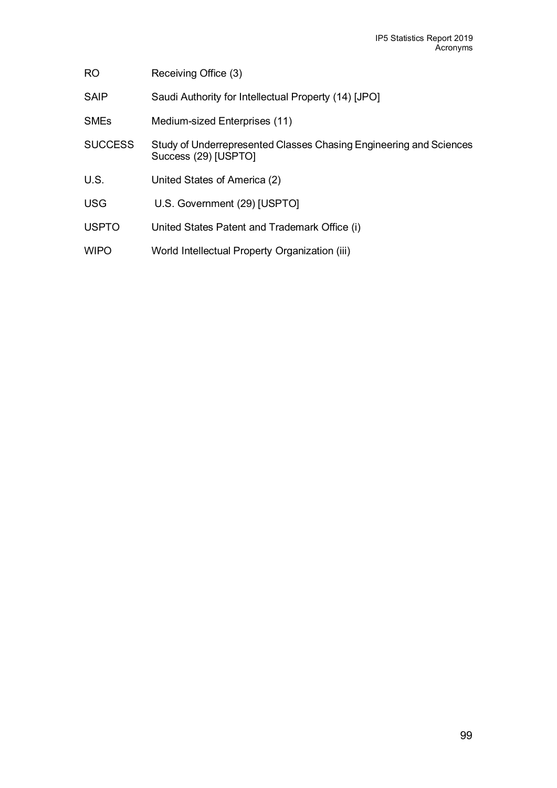| R <sub>O</sub> | Receiving Office (3)                                                                       |
|----------------|--------------------------------------------------------------------------------------------|
| <b>SAIP</b>    | Saudi Authority for Intellectual Property (14) [JPO]                                       |
| <b>SMEs</b>    | Medium-sized Enterprises (11)                                                              |
| <b>SUCCESS</b> | Study of Underrepresented Classes Chasing Engineering and Sciences<br>Success (29) [USPTO] |
| U.S.           | United States of America (2)                                                               |
| <b>USG</b>     | U.S. Government (29) [USPTO]                                                               |
| <b>USPTO</b>   | United States Patent and Trademark Office (i)                                              |
| <b>WIPO</b>    | World Intellectual Property Organization (iii)                                             |